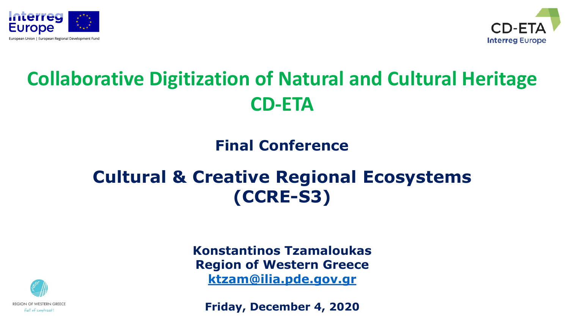



## **Collaborative Digitization of Natural and Cultural Heritage CD-ETA**

### **Final Conference**

## **Cultural & Creative Regional Ecosystems (CCRE-S3)**



**Konstantinos Tzamaloukas Region of Western Greece [ktzam@ilia.pde.gov.gr](mailto:ktzam@ilia.pde.gov.gr)**

**Friday, December 4, 2020**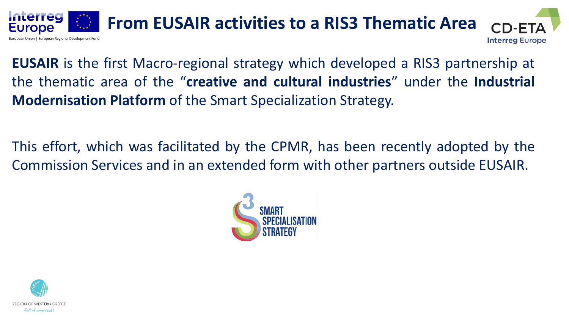

**EUSAIR** is the first Macro-regional strategy which developed a RIS3 partnership at the thematic area of the "**creative and cultural industries**" under the **Industrial Modernisation Platform** of the Smart Specialization Strategy.

This effort, which was facilitated by the CPMR, has been recently adopted by the Commission Services and in an extended form with other partners outside EUSAIR.



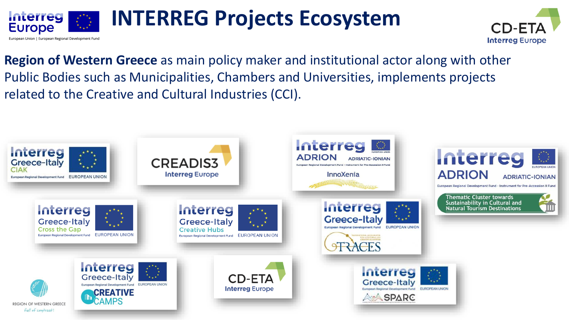

## **INTERREG Projects Ecosystem**



**Region of Western Greece** as main policy maker and institutional actor along with other Public Bodies such as Municipalities, Chambers and Universities, implements projects related to the Creative and Cultural Industries (CCI).

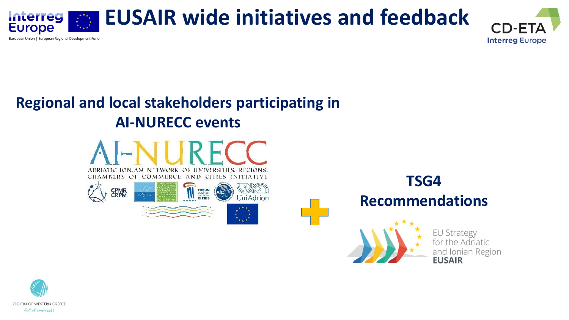

**Interreg Europe** 

### **Regional and local stakeholders participating in AI-NURECC events**





**TSG4 Recommendations** EU Strategy for the Adriatic and Ionian Region **FUSAIR** 

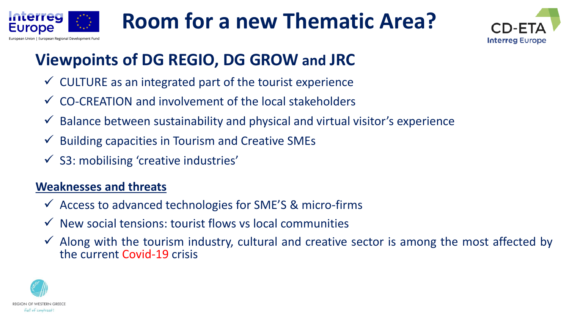



## **Viewpoints of DG REGIO, DG GROW and JRC**

- $\checkmark$  CULTURE as an integrated part of the tourist experience
- ✓ CO-CREATION and involvement of the local stakeholders
- $\checkmark$  Balance between sustainability and physical and virtual visitor's experience
- $\checkmark$  Building capacities in Tourism and Creative SMEs
- $\checkmark$  S3: mobilising 'creative industries'

#### **Weaknesses and threats**

- $\checkmark$  Access to advanced technologies for SME'S & micro-firms
- $\checkmark$  New social tensions: tourist flows vs local communities
- ✓ Along with the tourism industry, cultural and creative sector is among the most affected by the current Covid-19 crisis



**Interreg** Europe

European Regional Development Fui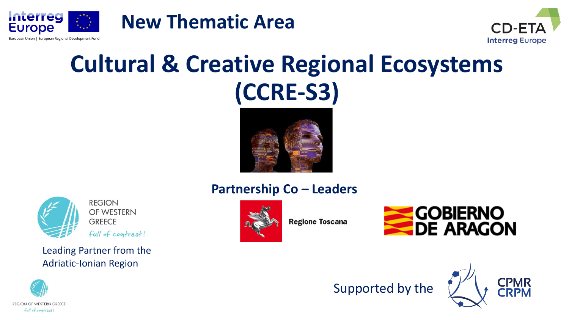



## **Cultural & Creative Regional Ecosystems (CCRE-S3)**

**New Thematic Area**





Leading Partner from the Adriatic-Ionian Region

### **Partnership Co – Leaders**



**Regione Toscana** 







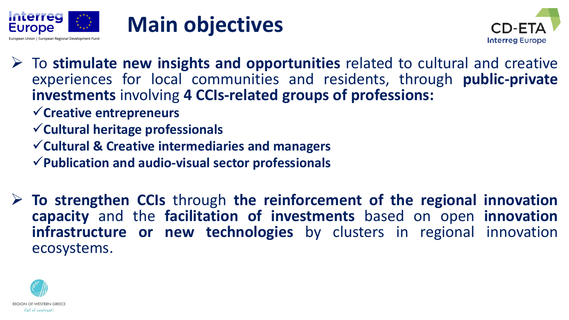





- ➢ To **stimulate new insights and opportunities** related to cultural and creative experiences for local communities and residents, through **public-private investments** involving **4 CCIs-related groups of professions:**
	- ✓**Creative entrepreneurs**
	- ✓**Cultural heritage professionals**
	- ✓**Cultural & Creative intermediaries and managers**
	- ✓**Publication and audio-visual sector professionals**
- ➢ **To strengthen CCIs** through **the reinforcement of the regional innovation capacity** and the **facilitation of investments** based on open **innovation infrastructure or new technologies** by clusters in regional innovation ecosystems.

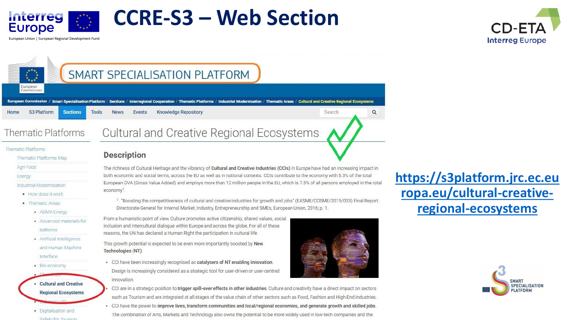

European Union | European Regional Development Fund

**Europe** 

 $\sum_{k=1}^{k}$ 

European Commission



## SMART SPECIALISATION PLATFORM

European Commission / Smart Specialisation Platform / Sections / Interregional Cooperation / Thematic Platforms / Industrial Modernisation / Thematic Areas / Cultural and Creative Regional Ecosystems S3 Platform **Sections Tools Knowledge Repository** Search Home **News** Events

**Thematic Platforms** 

#### **Thematic Platforms**

Thematic Platforms Map

Agri-Food

#### Energy

Industrial Modernisation

- How does it work
- Thematic Areas
	- · ADMA Energy
	- Advanced materials for batteries
	- · Artificial Intelligence
	- · Bio-economy

**Cultural and Creative Regional Ecosystems** 

· Digitalisation and **Rafety for Touriem**  **Cultural and Creative Regional Ecosystems** 

#### **Description**

The richness of Cultural Heritage and the vibrancy of Cultural and Creative Industries (CCIs) in Europe have had an increasing impact in both economic and social terms, across the EU as well as in national contexts. CCIs contribute to the economy with 5.3% of the total European GVA (Gross Value Added) and employs more than 12 million people in the EU, which is 7.5% of all persons employed in the total economy<sup>1</sup>.

1. "Boosting the competitiveness of cultural and creative industries for growth and jobs" (EASME/COSME/2015/003) Final Report. Directorate-General for Internal Market, Industry, Entrepreneurship and SMEs, European Union, 2016; p. 1.

From a humanistic point of view, Culture promotes active citizenship, shared values, social inclusion and intercultural dialogue within Europe and across the globe. For all of these reasons, the UN has declared a Human Right the participation in cultural life.

and Human Machine **https://sapid.org/inducts.provide** and Human Machine **Technologies (NT):**<br>Interface

• CCI have been increasingly recognised as catalysers of NT enabling innovation. Design is increasingly considered as a strategic tool for user-driven or user-centred innovation.



 $\alpha$ 

- CCI are in a strategic position to trigger spill-over effects in other industries. Culture and creativity have a direct impact on sectors such as Tourism and are integrated at all stages of the value chain of other sectors such as Food, Fashion and High-End industries.
- . CCI have the power to improve lives, transform communities and local/regional economies, and generate growth and skilled jobs.

The combination of Arts, Markets and Technology also owns the potential to be more widely used in low-tech companies and the

**[https://s3platform.jrc.ec.eu](https://s3platform.jrc.ec.europa.eu/cultural-creative-regional-ecosystems) ropa.eu/cultural-creativeregional-ecosystems**